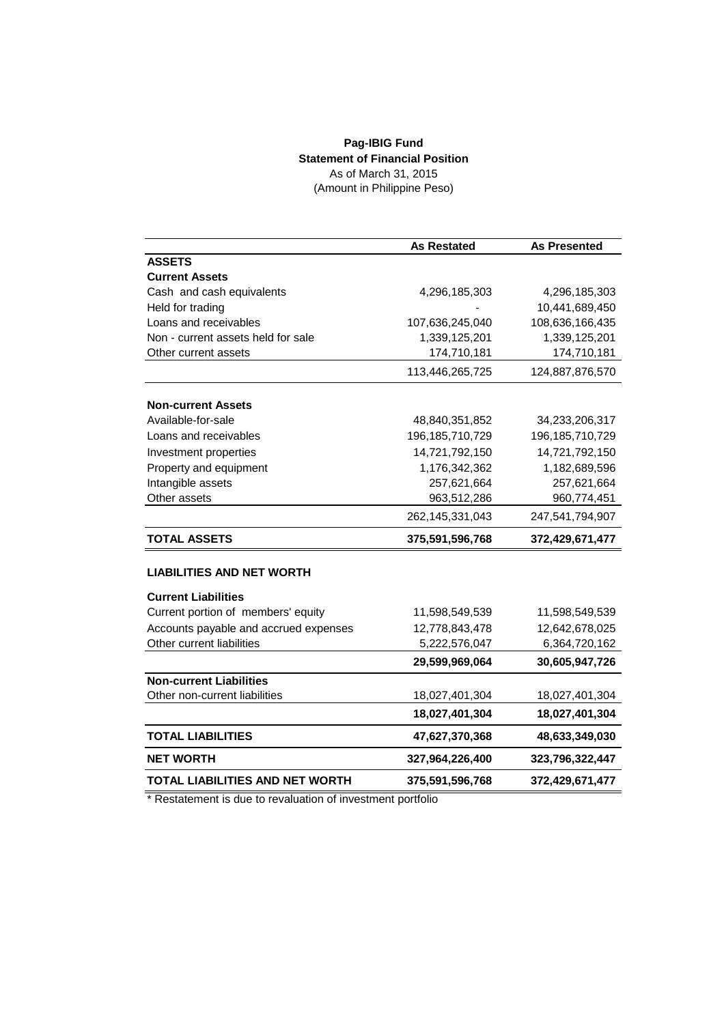## **Pag-IBIG Fund Statement of Financial Position** As of March 31, 2015 (Amount in Philippine Peso)

|                                        | <b>As Restated</b> | <b>As Presented</b> |
|----------------------------------------|--------------------|---------------------|
| <b>ASSETS</b>                          |                    |                     |
| <b>Current Assets</b>                  |                    |                     |
| Cash and cash equivalents              | 4,296,185,303      | 4,296,185,303       |
| Held for trading                       |                    | 10,441,689,450      |
| Loans and receivables                  | 107,636,245,040    | 108,636,166,435     |
| Non - current assets held for sale     | 1,339,125,201      | 1,339,125,201       |
| Other current assets                   | 174,710,181        | 174,710,181         |
|                                        | 113,446,265,725    | 124,887,876,570     |
| <b>Non-current Assets</b>              |                    |                     |
| Available-for-sale                     | 48,840,351,852     | 34,233,206,317      |
| Loans and receivables                  | 196, 185, 710, 729 | 196, 185, 710, 729  |
| Investment properties                  | 14,721,792,150     | 14,721,792,150      |
| Property and equipment                 | 1,176,342,362      | 1,182,689,596       |
| Intangible assets                      | 257,621,664        | 257,621,664         |
| Other assets                           | 963,512,286        | 960,774,451         |
|                                        | 262, 145, 331, 043 | 247,541,794,907     |
| <b>TOTAL ASSETS</b>                    | 375,591,596,768    | 372,429,671,477     |
| <b>LIABILITIES AND NET WORTH</b>       |                    |                     |
| <b>Current Liabilities</b>             |                    |                     |
| Current portion of members' equity     | 11,598,549,539     | 11,598,549,539      |
| Accounts payable and accrued expenses  | 12,778,843,478     | 12,642,678,025      |
| Other current liabilities              | 5,222,576,047      | 6,364,720,162       |
|                                        | 29,599,969,064     | 30,605,947,726      |
| <b>Non-current Liabilities</b>         |                    |                     |
| Other non-current liabilities          | 18,027,401,304     | 18,027,401,304      |
|                                        | 18,027,401,304     | 18,027,401,304      |
| <b>TOTAL LIABILITIES</b>               | 47,627,370,368     | 48,633,349,030      |
| <b>NET WORTH</b>                       | 327,964,226,400    | 323,796,322,447     |
| <b>TOTAL LIABILITIES AND NET WORTH</b> | 375,591,596,768    | 372,429,671,477     |

\* Restatement is due to revaluation of investment portfolio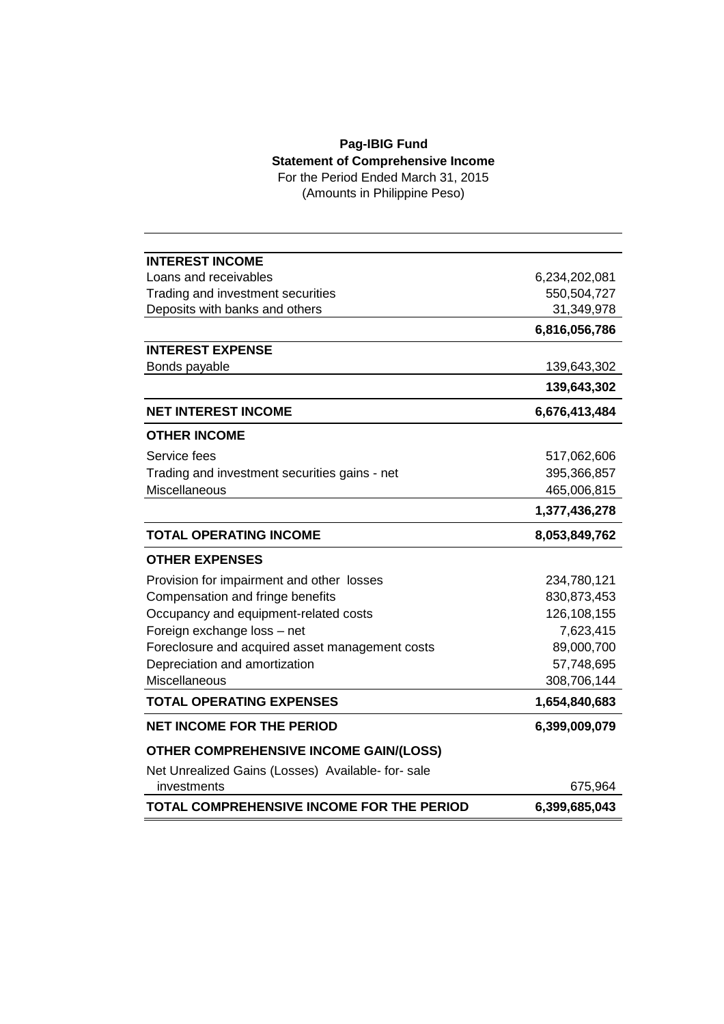## **Pag-IBIG Fund Statement of Comprehensive Income** For the Period Ended March 31, 2015

(Amounts in Philippine Peso)

| <b>INTEREST INCOME</b>                            |               |
|---------------------------------------------------|---------------|
| Loans and receivables                             | 6,234,202,081 |
| Trading and investment securities                 | 550,504,727   |
| Deposits with banks and others                    | 31,349,978    |
|                                                   | 6,816,056,786 |
| <b>INTEREST EXPENSE</b>                           |               |
| Bonds payable                                     | 139,643,302   |
|                                                   | 139,643,302   |
| <b>NET INTEREST INCOME</b>                        | 6,676,413,484 |
| <b>OTHER INCOME</b>                               |               |
| Service fees                                      | 517,062,606   |
| Trading and investment securities gains - net     | 395,366,857   |
| Miscellaneous                                     | 465,006,815   |
|                                                   | 1,377,436,278 |
| <b>TOTAL OPERATING INCOME</b>                     | 8,053,849,762 |
| <b>OTHER EXPENSES</b>                             |               |
| Provision for impairment and other losses         | 234,780,121   |
| Compensation and fringe benefits                  | 830,873,453   |
| Occupancy and equipment-related costs             | 126,108,155   |
| Foreign exchange loss - net                       | 7,623,415     |
| Foreclosure and acquired asset management costs   | 89,000,700    |
| Depreciation and amortization                     | 57,748,695    |
| Miscellaneous                                     | 308,706,144   |
| <b>TOTAL OPERATING EXPENSES</b>                   | 1,654,840,683 |
| <b>NET INCOME FOR THE PERIOD</b>                  | 6,399,009,079 |
| <b>OTHER COMPREHENSIVE INCOME GAIN/(LOSS)</b>     |               |
| Net Unrealized Gains (Losses) Available- for-sale |               |
| investments                                       | 675,964       |
| <b>TOTAL COMPREHENSIVE INCOME FOR THE PERIOD</b>  | 6,399,685,043 |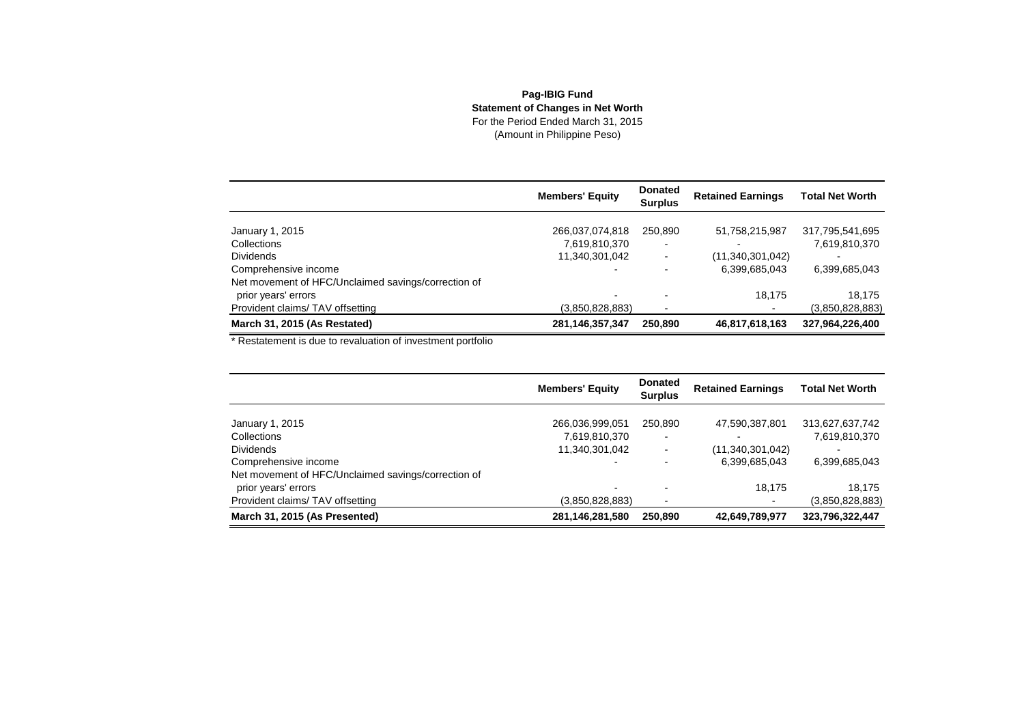## **Pag-IBIG Fund Statement of Changes in Net Worth** For the Period Ended March 31, 2015(Amount in Philippine Peso)

|                                                     | <b>Members' Equity</b> | <b>Donated</b><br><b>Surplus</b> | <b>Retained Earnings</b> | <b>Total Net Worth</b> |
|-----------------------------------------------------|------------------------|----------------------------------|--------------------------|------------------------|
|                                                     |                        |                                  |                          |                        |
| January 1, 2015                                     | 266,037,074,818        | 250,890                          | 51,758,215,987           | 317,795,541,695        |
| Collections                                         | 7,619,810,370          | $\overline{\phantom{0}}$         |                          | 7,619,810,370          |
| <b>Dividends</b>                                    | 11,340,301,042         |                                  | (11,340,301,042)         |                        |
| Comprehensive income                                |                        |                                  | 6,399,685,043            | 6,399,685,043          |
| Net movement of HFC/Unclaimed savings/correction of |                        |                                  |                          |                        |
| prior years' errors                                 |                        |                                  | 18,175                   | 18,175                 |
| Provident claims/TAV offsetting                     | (3,850,828,883)        |                                  |                          | (3,850,828,883)        |
| March 31, 2015 (As Restated)                        | 281, 146, 357, 347     | 250,890                          | 46,817,618,163           | 327,964,226,400        |

\* Restatement is due to revaluation of investment portfolio

|                                                     | <b>Members' Equity</b>   | <b>Donated</b><br><b>Surplus</b> | <b>Retained Earnings</b> | <b>Total Net Worth</b> |
|-----------------------------------------------------|--------------------------|----------------------------------|--------------------------|------------------------|
| January 1, 2015                                     | 266,036,999,051          | 250,890                          | 47,590,387,801           | 313,627,637,742        |
| Collections                                         | 7,619,810,370            | -                                |                          | 7,619,810,370          |
| <b>Dividends</b>                                    | 11,340,301,042           |                                  | (11,340,301,042)         |                        |
| Comprehensive income                                | $\overline{\phantom{0}}$ |                                  | 6,399,685,043            | 6,399,685,043          |
| Net movement of HFC/Unclaimed savings/correction of |                          |                                  |                          |                        |
| prior years' errors                                 |                          |                                  | 18,175                   | 18.175                 |
| Provident claims/TAV offsetting                     | (3,850,828,883)          |                                  |                          | (3,850,828,883)        |
| March 31, 2015 (As Presented)                       | 281, 146, 281, 580       | 250.890                          | 42,649,789,977           | 323,796,322,447        |